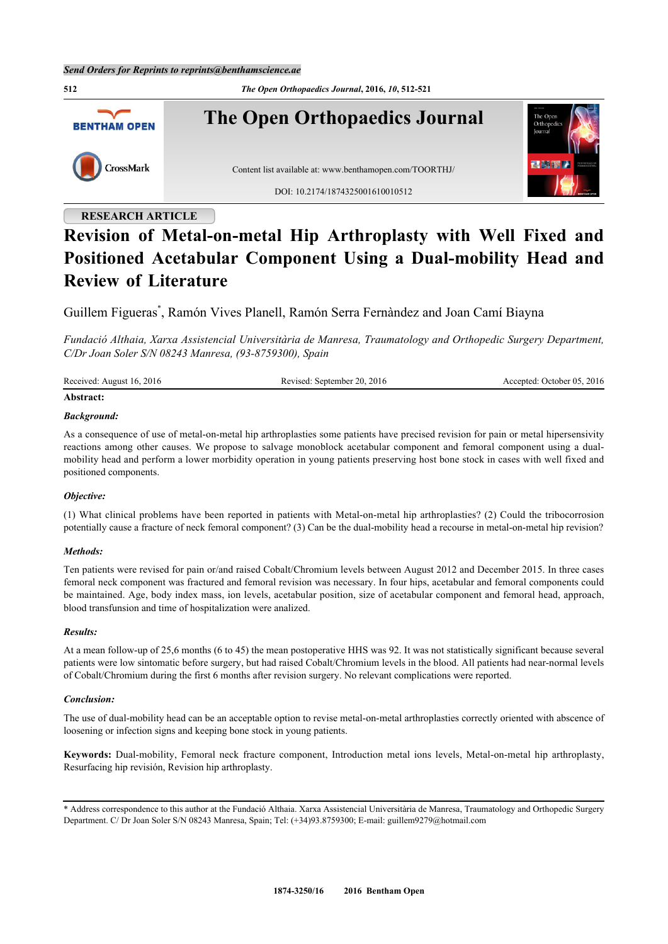**512** *The Open Orthopaedics Journal***, 2016,** *10***, 512-521 The Open Orthopaedics Journal BENTHAM OPEN** CrossMark Content list available at: [www.benthamopen.com/TOORTHJ/](http://www.benthamopen.com/TOORTHJ/) DOI: [10.2174/1874325001610010512](http://dx.doi.org/10.2174/1874325001610010512)

# **RESEARCH ARTICLE**

# **Revision of Metal-on-metal Hip Arthroplasty with Well Fixed and Positioned Acetabular Component Using a Dual-mobility Head and Review of Literature**

Guillem Figueras[\\*](#page-0-0) , Ramón Vives Planell, Ramón Serra Fernàndez and Joan Camí Biayna

*Fundació Althaia, Xarxa Assistencial Universitària de Manresa, Traumatology and Orthopedic Surgery Department, C/Dr Joan Soler S/N 08243 Manresa, (93-8759300), Spain*

| Received: August 16, 2016 | Revised: September 20, 2016 | Accepted: October 05, 2016 |
|---------------------------|-----------------------------|----------------------------|

# **Abstract:**

# *Background:*

As a consequence of use of metal-on-metal hip arthroplasties some patients have precised revision for pain or metal hipersensivity reactions among other causes. We propose to salvage monoblock acetabular component and femoral component using a dualmobility head and perform a lower morbidity operation in young patients preserving host bone stock in cases with well fixed and positioned components.

# *Objective:*

(1) What clinical problems have been reported in patients with Metal-on-metal hip arthroplasties? (2) Could the tribocorrosion potentially cause a fracture of neck femoral component? (3) Can be the dual-mobility head a recourse in metal-on-metal hip revision?

#### *Methods:*

Ten patients were revised for pain or/and raised Cobalt/Chromium levels between August 2012 and December 2015. In three cases femoral neck component was fractured and femoral revision was necessary. In four hips, acetabular and femoral components could be maintained. Age, body index mass, ion levels, acetabular position, size of acetabular component and femoral head, approach, blood transfunsion and time of hospitalization were analized.

#### *Results:*

At a mean follow-up of 25,6 months (6 to 45) the mean postoperative HHS was 92. It was not statistically significant because several patients were low sintomatic before surgery, but had raised Cobalt/Chromium levels in the blood. All patients had near-normal levels of Cobalt/Chromium during the first 6 months after revision surgery. No relevant complications were reported.

# *Conclusion:*

The use of dual-mobility head can be an acceptable option to revise metal-on-metal arthroplasties correctly oriented with abscence of loosening or infection signs and keeping bone stock in young patients.

**Keywords:** Dual-mobility, Femoral neck fracture component, Introduction metal ions levels, Metal-on-metal hip arthroplasty, Resurfacing hip revisión, Revision hip arthroplasty.

<span id="page-0-0"></span><sup>\*</sup> Address correspondence to this author at the Fundació Althaia. Xarxa Assistencial Universitària de Manresa, Traumatology and Orthopedic Surgery Department. C/ Dr Joan Soler S/N 08243 Manresa, Spain; Tel: (+34)93.8759300; E-mail: [guillem9279@hotmail.com](mailto:guillem9279@hotmail.com)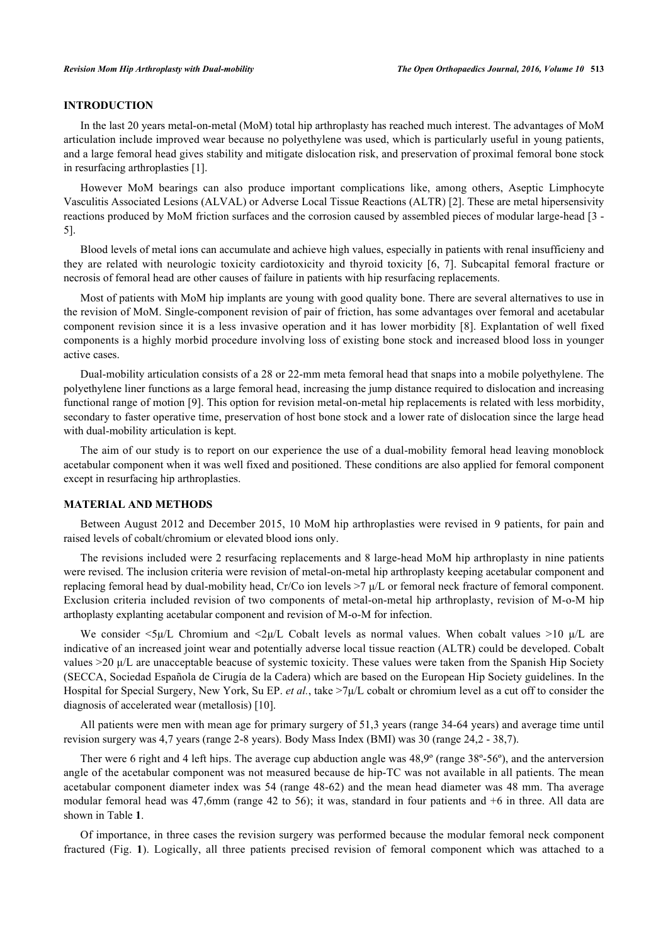# **INTRODUCTION**

In the last 20 years metal-on-metal (MoM) total hip arthroplasty has reached much interest. The advantages of MoM articulation include improved wear because no polyethylene was used, which is particularly useful in young patients, and a large femoral head gives stability and mitigate dislocation risk, and preservation of proximal femoral bone stock in resurfacing arthroplasties [\[1](#page-7-0)].

However MoM bearings can also produce important complications like, among others, Aseptic Limphocyte Vasculitis Associated Lesions (ALVAL) or Adverse Local Tissue Reactions (ALTR) [\[2](#page-7-1)]. These are metal hipersensivity reactions produced by MoM friction surfaces and the corrosion caused by assembled pieces of modular large-head [[3](#page-7-2) - [5\]](#page-7-3).

Blood levels of metal ions can accumulate and achieve high values, especially in patients with renal insufficieny and they are related with neurologic toxicity cardiotoxicity and thyroid toxicity [\[6](#page-7-4), [7](#page-7-5)]. Subcapital femoral fracture or necrosis of femoral head are other causes of failure in patients with hip resurfacing replacements.

Most of patients with MoM hip implants are young with good quality bone. There are several alternatives to use in the revision of MoM. Single-component revision of pair of friction, has some advantages over femoral and acetabular component revision since it is a less invasive operation and it has lower morbidity [[8\]](#page-7-6). Explantation of well fixed components is a highly morbid procedure involving loss of existing bone stock and increased blood loss in younger active cases.

Dual-mobility articulation consists of a 28 or 22-mm meta femoral head that snaps into a mobile polyethylene. The polyethylene liner functions as a large femoral head, increasing the jump distance required to dislocation and increasing functional range of motion [[9\]](#page-7-7). This option for revision metal-on-metal hip replacements is related with less morbidity, secondary to faster operative time, preservation of host bone stock and a lower rate of dislocation since the large head with dual-mobility articulation is kept.

The aim of our study is to report on our experience the use of a dual-mobility femoral head leaving monoblock acetabular component when it was well fixed and positioned. These conditions are also applied for femoral component except in resurfacing hip arthroplasties.

### **MATERIAL AND METHODS**

Between August 2012 and December 2015, 10 MoM hip arthroplasties were revised in 9 patients, for pain and raised levels of cobalt/chromium or elevated blood ions only.

The revisions included were 2 resurfacing replacements and 8 large-head MoM hip arthroplasty in nine patients were revised. The inclusion criteria were revision of metal-on-metal hip arthroplasty keeping acetabular component and replacing femoral head by dual-mobility head, Cr/Co ion levels >7 μ/L or femoral neck fracture of femoral component. Exclusion criteria included revision of two components of metal-on-metal hip arthroplasty, revision of M-o-M hip arthoplasty explanting acetabular component and revision of M-o-M for infection.

We consider  $\langle 5\mu/L \rangle$  Chromium and  $\langle 2\mu/L \rangle$  Cobalt levels as normal values. When cobalt values  $>10 \mu/L$  are indicative of an increased joint wear and potentially adverse local tissue reaction (ALTR) could be developed. Cobalt values >20 μ/L are unacceptable beacuse of systemic toxicity. These values were taken from the Spanish Hip Society (SECCA, Sociedad Española de Cirugía de la Cadera) which are based on the European Hip Society guidelines. In the Hospital for Special Surgery, New York, Su EP. *et al.*, take >7μ/L cobalt or chromium level as a cut off to consider the diagnosis of accelerated wear (metallosis) [\[10](#page-7-8)].

All patients were men with mean age for primary surgery of 51,3 years (range 34-64 years) and average time until revision surgery was 4,7 years (range 2-8 years). Body Mass Index (BMI) was 30 (range 24,2 - 38,7).

Ther were 6 right and 4 left hips. The average cup abduction angle was 48,9º (range 38º-56º), and the anterversion angle of the acetabular component was not measured because de hip-TC was not available in all patients. The mean acetabular component diameter index was 54 (range 48-62) and the mean head diameter was 48 mm. Tha average modular femoral head was 47,6mm (range 42 to 56); it was, standard in four patients and +6 in three. All data are shown in Table **[1](#page-6-0)**.

Of importance, in three cases the revision surgery was performed because the modular femoral neck component fractured (Fig.**1**). Logically, all three patients precised revision of femoral component which was attached to a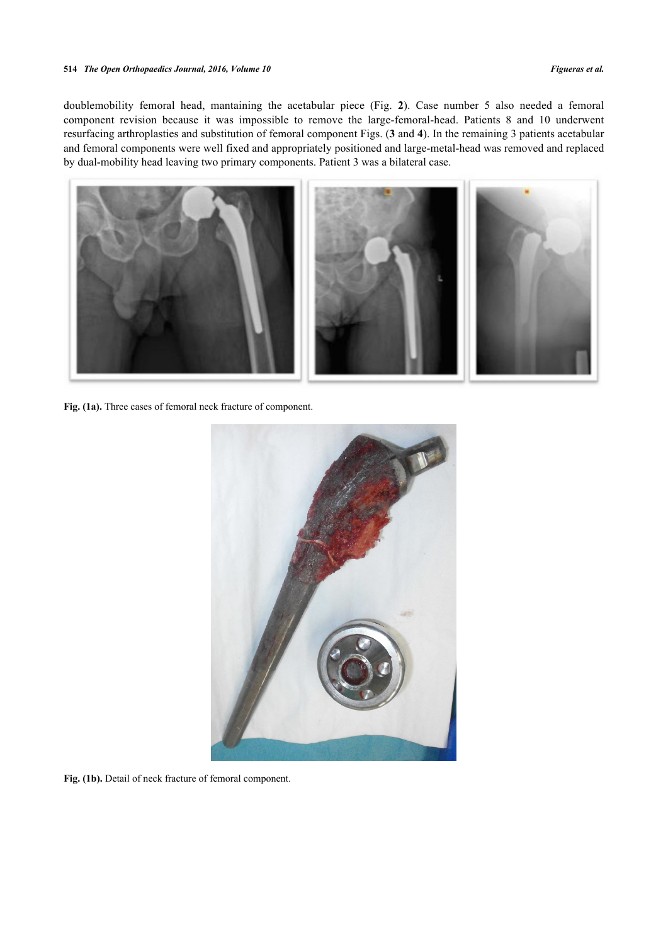#### **514** *The Open Orthopaedics Journal, 2016, Volume 10 Figueras et al.*

doublemobility femoral head, mantaining the acetabular piece (Fig.**2**). Case number 5 also needed a femoral component revision because it was impossible to remove the large-femoral-head. Patients 8 and 10 underwent resurfacing arthroplasties and substitution of femoral component Figs. (**[3](#page-3-0)** and **[4](#page-3-1)**). In the remaining 3 patients acetabular and femoral components were well fixed and appropriately positioned and large-metal-head was removed and replaced by dual-mobility head leaving two primary components. Patient 3 was a bilateral case.



Fig. (1a). Three cases of femoral neck fracture of component.

<span id="page-2-0"></span>

Fig. (1b). Detail of neck fracture of femoral component.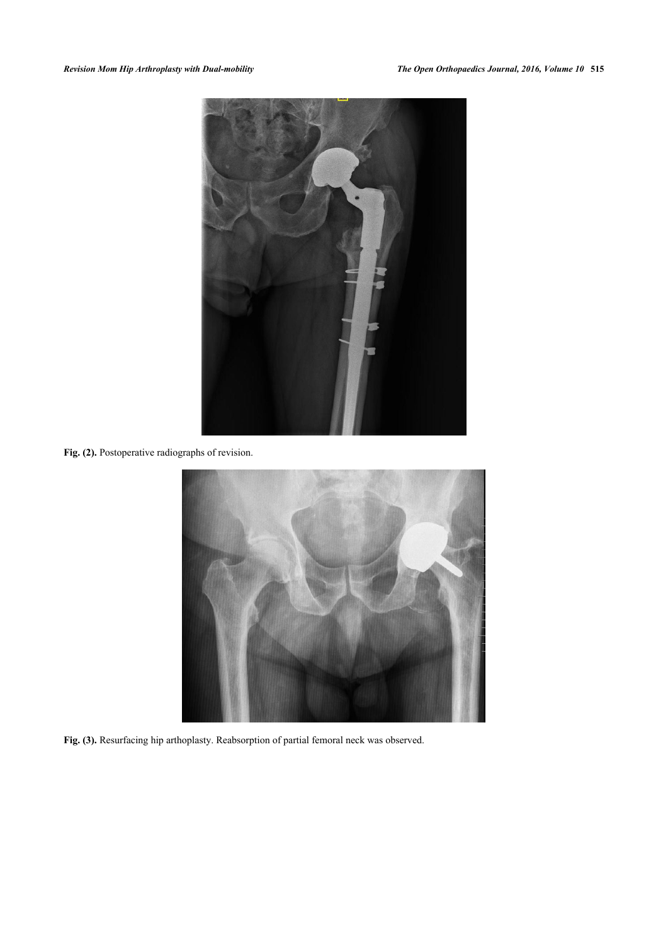

**Fig. (2).** Postoperative radiographs of revision.

<span id="page-3-1"></span><span id="page-3-0"></span>

**Fig. (3).** Resurfacing hip arthoplasty. Reabsorption of partial femoral neck was observed.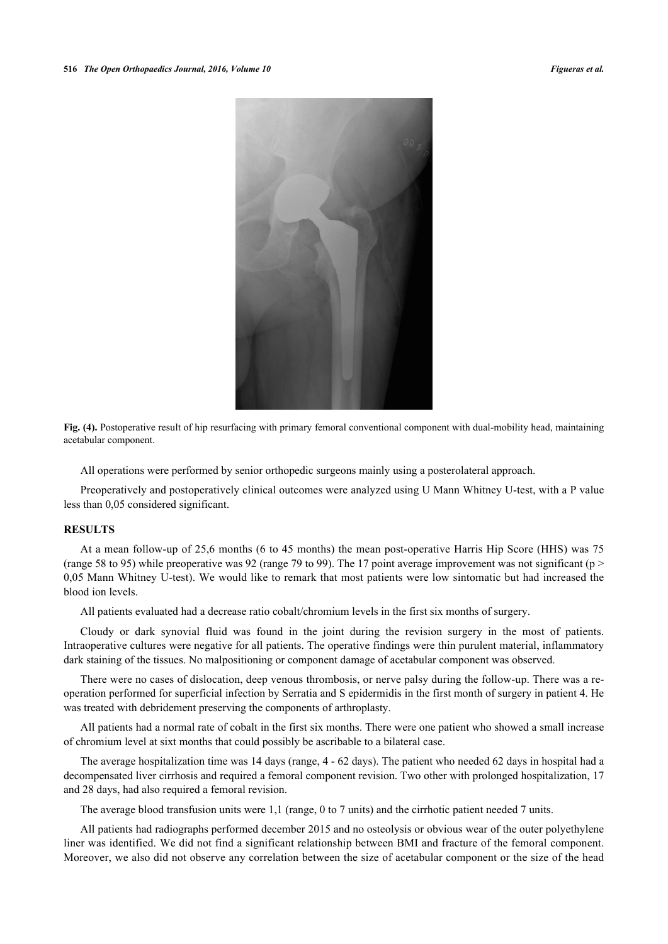

**Fig. (4).** Postoperative result of hip resurfacing with primary femoral conventional component with dual-mobility head, maintaining acetabular component.

All operations were performed by senior orthopedic surgeons mainly using a posterolateral approach.

Preoperatively and postoperatively clinical outcomes were analyzed using U Mann Whitney U-test, with a P value less than 0,05 considered significant.

#### **RESULTS**

At a mean follow-up of 25,6 months (6 to 45 months) the mean post-operative Harris Hip Score (HHS) was 75 (range 58 to 95) while preoperative was 92 (range 79 to 99). The 17 point average improvement was not significant ( $p$  > 0,05 Mann Whitney U-test). We would like to remark that most patients were low sintomatic but had increased the blood ion levels.

All patients evaluated had a decrease ratio cobalt/chromium levels in the first six months of surgery.

Cloudy or dark synovial fluid was found in the joint during the revision surgery in the most of patients. Intraoperative cultures were negative for all patients. The operative findings were thin purulent material, inflammatory dark staining of the tissues. No malpositioning or component damage of acetabular component was observed.

There were no cases of dislocation, deep venous thrombosis, or nerve palsy during the follow-up. There was a reoperation performed for superficial infection by Serratia and S epidermidis in the first month of surgery in patient 4. He was treated with debridement preserving the components of arthroplasty.

All patients had a normal rate of cobalt in the first six months. There were one patient who showed a small increase of chromium level at sixt months that could possibly be ascribable to a bilateral case.

The average hospitalization time was 14 days (range, 4 - 62 days). The patient who needed 62 days in hospital had a decompensated liver cirrhosis and required a femoral component revision. Two other with prolonged hospitalization, 17 and 28 days, had also required a femoral revision.

The average blood transfusion units were 1,1 (range, 0 to 7 units) and the cirrhotic patient needed 7 units.

All patients had radiographs performed december 2015 and no osteolysis or obvious wear of the outer polyethylene liner was identified. We did not find a significant relationship between BMI and fracture of the femoral component. Moreover, we also did not observe any correlation between the size of acetabular component or the size of the head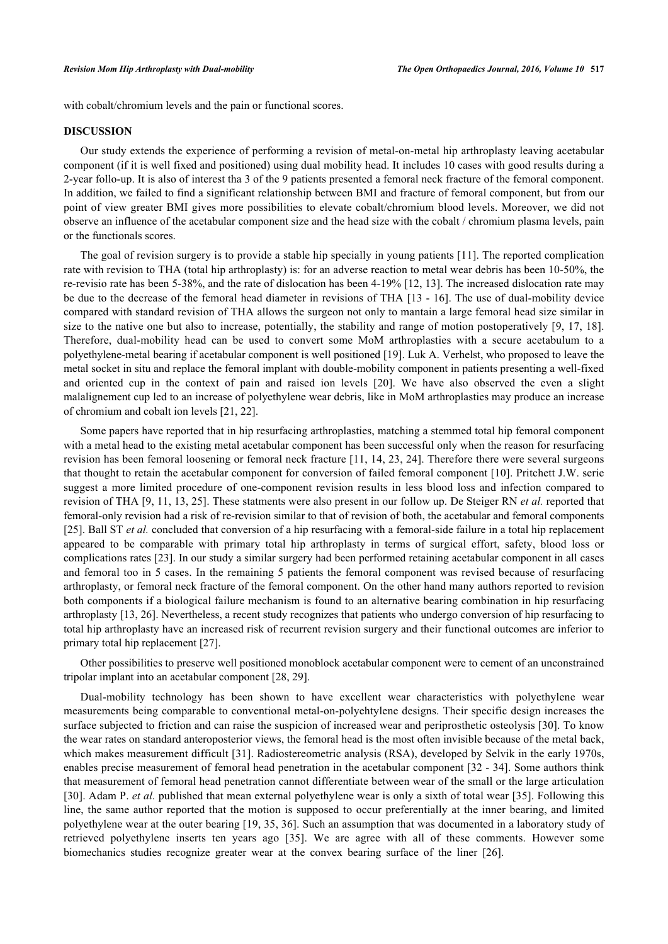with cobalt/chromium levels and the pain or functional scores.

# **DISCUSSION**

Our study extends the experience of performing a revision of metal-on-metal hip arthroplasty leaving acetabular component (if it is well fixed and positioned) using dual mobility head. It includes 10 cases with good results during a 2-year follo-up. It is also of interest tha 3 of the 9 patients presented a femoral neck fracture of the femoral component. In addition, we failed to find a significant relationship between BMI and fracture of femoral component, but from our point of view greater BMI gives more possibilities to elevate cobalt/chromium blood levels. Moreover, we did not observe an influence of the acetabular component size and the head size with the cobalt / chromium plasma levels, pain or the functionals scores.

The goal of revision surgery is to provide a stable hip specially in young patients [[11](#page-7-9)]. The reported complication rate with revision to THA (total hip arthroplasty) is: for an adverse reaction to metal wear debris has been 10-50%, the re-revisio rate has been 5-38%, and the rate of dislocation has been 4-19% [[12,](#page-7-10) [13](#page-7-11)]. The increased dislocation rate may be due to the decrease of the femoral head diameter in revisions of THA [\[13](#page-7-11) - [16\]](#page-7-12). The use of dual-mobility device compared with standard revision of THA allows the surgeon not only to mantain a large femoral head size similar in size to the native one but also to increase, potentially, the stability and range of motion postoperatively [\[9,](#page-7-7) [17,](#page-8-0) [18\]](#page-8-1). Therefore, dual-mobility head can be used to convert some MoM arthroplasties with a secure acetabulum to a polyethylene-metal bearing if acetabular component is well positioned [\[19](#page-8-2)]. Luk A. Verhelst, who proposed to leave the metal socket in situ and replace the femoral implant with double-mobility component in patients presenting a well-fixed and oriented cup in the context of pain and raised ion levels [\[20\]](#page-8-3). We have also observed the even a slight malalignement cup led to an increase of polyethylene wear debris, like in MoM arthroplasties may produce an increase of chromium and cobalt ion levels [\[21](#page-8-4), [22](#page-8-5)].

Some papers have reported that in hip resurfacing arthroplasties, matching a stemmed total hip femoral component with a metal head to the existing metal acetabular component has been successful only when the reason for resurfacing revision has been femoral loosening or femoral neck fracture [[11](#page-7-9), [14,](#page-7-13) [23,](#page-8-6) [24](#page-8-7)]. Therefore there were several surgeons that thought to retain the acetabular component for conversion of failed femoral component [[10](#page-7-8)]. Pritchett J.W. serie suggest a more limited procedure of one-component revision results in less blood loss and infection compared to revision of THA [[9,](#page-7-7) [11](#page-7-9), [13,](#page-7-11) [25\]](#page-8-8). These statments were also present in our follow up. De Steiger RN *et al.* reported that femoral-only revision had a risk of re-revision similar to that of revision of both, the acetabular and femoral components [\[25](#page-8-8)]. Ball ST *et al.* concluded that conversion of a hip resurfacing with a femoral-side failure in a total hip replacement appeared to be comparable with primary total hip arthroplasty in terms of surgical effort, safety, blood loss or complications rates [[23\]](#page-8-6). In our study a similar surgery had been performed retaining acetabular component in all cases and femoral too in 5 cases. In the remaining 5 patients the femoral component was revised because of resurfacing arthroplasty, or femoral neck fracture of the femoral component. On the other hand many authors reported to revision both components if a biological failure mechanism is found to an alternative bearing combination in hip resurfacing arthroplasty [\[13](#page-7-11), [26](#page-8-9)]. Nevertheless, a recent study recognizes that patients who undergo conversion of hip resurfacing to total hip arthroplasty have an increased risk of recurrent revision surgery and their functional outcomes are inferior to primary total hip replacement [\[27](#page-8-10)].

Other possibilities to preserve well positioned monoblock acetabular component were to cement of an unconstrained tripolar implant into an acetabular component [[28,](#page-8-11) [29\]](#page-8-12).

Dual-mobility technology has been shown to have excellent wear characteristics with polyethylene wear measurements being comparable to conventional metal-on-polyehtylene designs. Their specific design increases the surface subjected to friction and can raise the suspicion of increased wear and periprosthetic osteolysis [\[30](#page-8-13)]. To know the wear rates on standard anteroposterior views, the femoral head is the most often invisible because of the metal back, which makes measurement difficult [\[31](#page-8-14)]. Radiostereometric analysis (RSA), developed by Selvik in the early 1970s, enables precise measurement of femoral head penetration in the acetabular component [[32](#page-8-15) - [34\]](#page-8-16). Some authors think that measurement of femoral head penetration cannot differentiate between wear of the small or the large articulation [\[30](#page-8-13)]. Adam P. *et al.* published that mean external polyethylene wear is only a sixth of total wear [[35](#page-8-17)]. Following this line, the same author reported that the motion is supposed to occur preferentially at the inner bearing, and limited polyethylene wear at the outer bearing [[19](#page-8-2), [35,](#page-8-17) [36](#page-8-18)]. Such an assumption that was documented in a laboratory study of retrieved polyethylene inserts ten years ago[[35\]](#page-8-17). We are agree with all of these comments. However some biomechanics studies recognize greater wear at the convex bearing surface of the liner [\[26](#page-8-9)].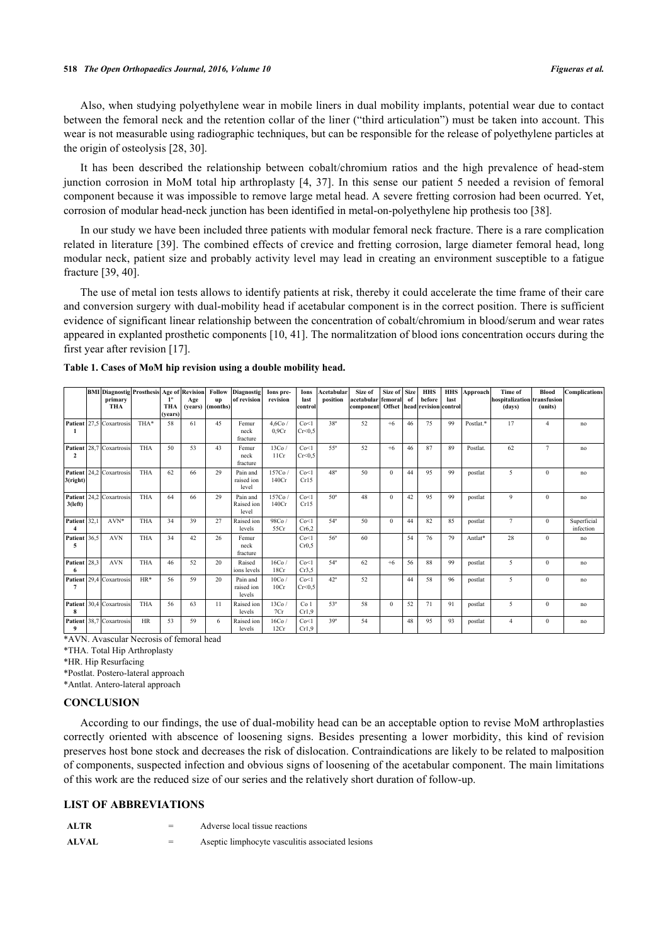Also, when studying polyethylene wear in mobile liners in dual mobility implants, potential wear due to contact between the femoral neck and the retention collar of the liner ("third articulation") must be taken into account. This wear is not measurable using radiographic techniques, but can be responsible for the release of polyethylene particles at the origin of osteolysis [[28,](#page-8-11) [30\]](#page-8-13).

It has been described the relationship between cobalt/chromium ratios and the high prevalence of head-stem junction corrosion in MoM total hip arthroplasty [\[4](#page-7-14), [37\]](#page-9-0). In this sense our patient 5 needed a revision of femoral component because it was impossible to remove large metal head. A severe fretting corrosion had been ocurred. Yet, corrosion of modular head-neck junction has been identified in metal-on-polyethylene hip prothesis too [\[38](#page-9-1)].

In our study we have been included three patients with modular femoral neck fracture. There is a rare complication related in literature [\[39](#page-9-2)]. The combined effects of crevice and fretting corrosion, large diameter femoral head, long modular neck, patient size and probably activity level may lead in creating an environment susceptible to a fatigue fracture [[39,](#page-9-2) [40\]](#page-9-3).

The use of metal ion tests allows to identify patients at risk, thereby it could accelerate the time frame of their care and conversion surgery with dual-mobility head if acetabular component is in the correct position. There is sufficient evidence of significant linear relationship between the concentration of cobalt/chromium in blood/serum and wear rates appeared in explanted prosthetic components [[10,](#page-7-8) [41\]](#page-9-4). The normalitzation of blood ions concentration occurs during the first year after revision [[17\]](#page-8-0).

|                           |      | <b>BMI</b> Diagnostig Prosthesis Age of Revision<br>primary<br><b>THA</b> |            | $1^{\circ}$<br>THA<br>(vears) | Age<br>(vears) | <b>Follow</b><br>up<br>(months) | <b>Diagnostig</b><br>of revision | Ions pre-<br>revision | Ions<br>last<br>control  | Acetabular<br>position | Size of<br>acetabular femoral<br>component Offset head revision control | Size of      | <b>Size</b><br>of | <b>HHS</b><br>before | <b>HHS</b><br>last | Approach  | <b>Time of</b><br>hospitalization transfusion<br>(days) | Blood<br>(units) | <b>Complications</b>     |
|---------------------------|------|---------------------------------------------------------------------------|------------|-------------------------------|----------------|---------------------------------|----------------------------------|-----------------------|--------------------------|------------------------|-------------------------------------------------------------------------|--------------|-------------------|----------------------|--------------------|-----------|---------------------------------------------------------|------------------|--------------------------|
| Patient<br>$\mathbf{1}$   |      | 27.5 Coxartrosis                                                          | THA*       | 58                            | 61             | 45                              | Femur<br>neck<br>fracture        | 4.6Co/<br>0.9Cr       | Co<1<br>Cr<0.5           | $38^\circ$             | 52                                                                      | $+6$         | 46                | 75                   | 99                 | Postlat.* | 17                                                      | 4                | no                       |
| Patient<br>$\overline{2}$ |      | 28,7 Coxartrosis                                                          | <b>THA</b> | 50                            | 53             | 43                              | Femur<br>neck<br>fracture        | 13Co/<br>11Cr         | Co<1<br>Cr<0.5           | 55°                    | 52                                                                      | $+6$         | 46                | 87                   | 89                 | Postlat.  | 62                                                      | $\overline{7}$   | no                       |
| Patient<br>3(right)       |      | 24,2 Coxartrosis                                                          | <b>THA</b> | 62                            | 66             | 29                              | Pain and<br>raised ion<br>level  | 157Co.<br>140Cr       | Co<1<br>Cr15             | $48^{\circ}$           | 50                                                                      | $\Omega$     | 44                | 95                   | 99                 | postlat   | 5                                                       | $\Omega$         | no                       |
| Patient<br>$3$ (left)     |      | 24,2 Coxartrosis                                                          | <b>THA</b> | 64                            | 66             | 29                              | Pain and<br>Raised ion<br>level  | 157Co<br>140Cr        | Co<1<br>Cr15             | $50^\circ$             | 48                                                                      | $\mathbf{0}$ | 42                | 95                   | 99                 | postlat   | 9                                                       | $\mathbf{0}$     | no                       |
| Patient                   | 32,1 | $AVN*$                                                                    | <b>THA</b> | 34                            | 39             | 27                              | Raised ion<br>levels             | 98Co/<br>55Cr         | Co<1<br>Cr6.2            | 54°                    | 50                                                                      | $\Omega$     | 44                | 82                   | 85                 | postlat   | $\tau$                                                  | $\Omega$         | Superficial<br>infection |
| Patient<br>5              | 36.5 | <b>AVN</b>                                                                | <b>THA</b> | 34                            | 42             | 26                              | Femur<br>neck<br>fracture        |                       | Co<1<br>Cr0.5            | 56°                    | 60                                                                      |              | 54                | 76                   | 79                 | Antlat*   | 28                                                      | $\Omega$         | no                       |
| Patient<br>-6             | 28.3 | <b>AVN</b>                                                                | <b>THA</b> | 46                            | 52             | 20                              | Raised<br>ions levels            | 16Co/<br>18Cr         | Co<1<br>Cr3.5            | 54°                    | 62                                                                      | $+6$         | 56                | 88                   | 99                 | postlat   | 5.                                                      | $\Omega$         | no                       |
| Patien<br>7               |      | 29,4 Coxartrosis                                                          | $HR*$      | 56                            | 59             | 20                              | Pain and<br>raised ion<br>levels | 10Co/<br>10Cr         | Co<1<br>Cr<0.5           | $42^{\circ}$           | 52                                                                      |              | 44                | 58                   | 96                 | postlat   | 5.                                                      | $\Omega$         | no                       |
| Patient<br>8              |      | 30.4 Coxartrosis                                                          | <b>THA</b> | 56                            | 63             | 11                              | Raised ion<br>levels             | 13Co<br>7Cr           | Co <sub>1</sub><br>Cr1.9 | 53°                    | 58                                                                      | $\theta$     | 52                | 71                   | 91                 | postlat   | 5.                                                      | $\mathbf{0}$     | no                       |
| Patient<br>9              |      | 38.7 Coxartrosis                                                          | <b>HR</b>  | 53                            | 59             | 6                               | Raised ion<br>levels             | 16Co<br>12Cr          | Co<1<br>Cr1.9            | 39°                    | 54                                                                      |              | 48                | 95                   | 93                 | postlat   | 4                                                       | $\Omega$         | no                       |

<span id="page-6-0"></span>**Table 1. Cases of MoM hip revision using a double mobility head.**

\*AVN. Avascular Necrosis of femoral head

\*THA. Total Hip Arthroplasty

\*HR. Hip Resurfacing

\*Postlat. Postero-lateral approach

\*Antlat. Antero-lateral approach

# **CONCLUSION**

According to our findings, the use of dual-mobility head can be an acceptable option to revise MoM arthroplasties correctly oriented with abscence of loosening signs. Besides presenting a lower morbidity, this kind of revision preserves host bone stock and decreases the risk of dislocation. Contraindications are likely to be related to malposition of components, suspected infection and obvious signs of loosening of the acetabular component. The main limitations of this work are the reduced size of our series and the relatively short duration of follow-up.

# **LIST OF ABBREVIATIONS**

| ALTR  | Adverse local tissue reactions                   |
|-------|--------------------------------------------------|
| ALVAL | Aseptic limphocyte vasculitis associated lesions |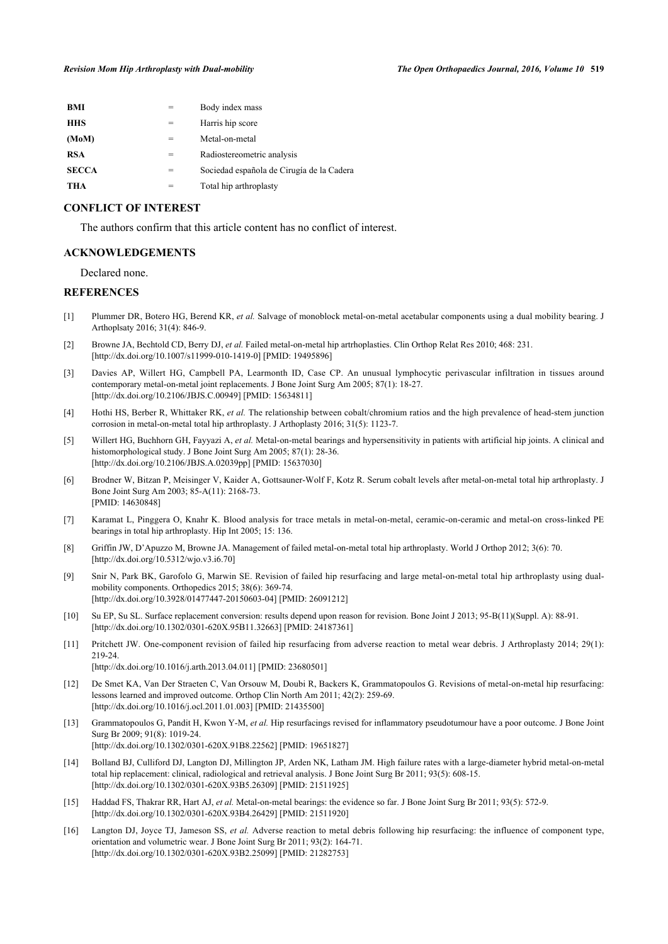| BMI          |   | Body index mass                           |
|--------------|---|-------------------------------------------|
| <b>HHS</b>   | = | Harris hip score                          |
| (MoM)        | = | Metal-on-metal                            |
| <b>RSA</b>   | = | Radiostereometric analysis                |
| <b>SECCA</b> | = | Sociedad española de Cirugía de la Cadera |
| THA          |   | Total hip arthroplasty                    |
|              |   |                                           |

# **CONFLICT OF INTEREST**

The authors confirm that this article content has no conflict of interest.

# **ACKNOWLEDGEMENTS**

Declared none.

#### **REFERENCES**

- <span id="page-7-0"></span>[1] Plummer DR, Botero HG, Berend KR, *et al.* Salvage of monoblock metal-on-metal acetabular components using a dual mobility bearing. J Arthoplsaty 2016; 31(4): 846-9.
- <span id="page-7-1"></span>[2] Browne JA, Bechtold CD, Berry DJ, *et al.* Failed metal-on-metal hip artrhoplasties. Clin Orthop Relat Res 2010; 468: 231. [\[http://dx.doi.org/10.1007/s11999-010-1419-0\]](http://dx.doi.org/10.1007/s11999-010-1419-0) [PMID: [19495896](http://www.ncbi.nlm.nih.gov/pubmed/19495896)]
- <span id="page-7-2"></span>[3] Davies AP, Willert HG, Campbell PA, Learmonth ID, Case CP. An unusual lymphocytic perivascular infiltration in tissues around contemporary metal-on-metal joint replacements. J Bone Joint Surg Am 2005; 87(1): 18-27. [\[http://dx.doi.org/10.2106/JBJS.C.00949](http://dx.doi.org/10.2106/JBJS.C.00949)] [PMID: [15634811\]](http://www.ncbi.nlm.nih.gov/pubmed/15634811)
- <span id="page-7-14"></span>[4] Hothi HS, Berber R, Whittaker RK, *et al.* The relationship between cobalt/chromium ratios and the high prevalence of head-stem junction corrosion in metal-on-metal total hip arthroplasty. J Arthoplasty 2016; 31(5): 1123-7.
- <span id="page-7-3"></span>[5] Willert HG, Buchhorn GH, Fayyazi A, *et al.* Metal-on-metal bearings and hypersensitivity in patients with artificial hip joints. A clinical and histomorphological study. J Bone Joint Surg Am 2005; 87(1): 28-36. [\[http://dx.doi.org/10.2106/JBJS.A.02039pp\]](http://dx.doi.org/10.2106/JBJS.A.02039pp) [PMID: [15637030](http://www.ncbi.nlm.nih.gov/pubmed/15637030)]
- <span id="page-7-4"></span>[6] Brodner W, Bitzan P, Meisinger V, Kaider A, Gottsauner-Wolf F, Kotz R. Serum cobalt levels after metal-on-metal total hip arthroplasty. J Bone Joint Surg Am 2003; 85-A(11): 2168-73. [PMID: [14630848\]](http://www.ncbi.nlm.nih.gov/pubmed/14630848)
- <span id="page-7-5"></span>[7] Karamat L, Pinggera O, Knahr K. Blood analysis for trace metals in metal-on-metal, ceramic-on-ceramic and metal-on cross-linked PE bearings in total hip arthroplasty. Hip Int 2005; 15: 136.
- <span id="page-7-6"></span>[8] Griffin JW, D'Apuzzo M, Browne JA. Management of failed metal-on-metal total hip arthroplasty. World J Orthop 2012; 3(6): 70. [\[http://dx.doi.org/10.5312/wjo.v3.i6.70](http://dx.doi.org/10.5312/wjo.v3.i6.70)]
- <span id="page-7-7"></span>[9] Snir N, Park BK, Garofolo G, Marwin SE. Revision of failed hip resurfacing and large metal-on-metal total hip arthroplasty using dualmobility components. Orthopedics 2015; 38(6): 369-74. [\[http://dx.doi.org/10.3928/01477447-20150603-04](http://dx.doi.org/10.3928/01477447-20150603-04)] [PMID: [26091212\]](http://www.ncbi.nlm.nih.gov/pubmed/26091212)
- <span id="page-7-8"></span>[10] Su EP, Su SL. Surface replacement conversion: results depend upon reason for revision. Bone Joint J 2013; 95-B(11)(Suppl. A): 88-91. [\[http://dx.doi.org/10.1302/0301-620X.95B11.32663\]](http://dx.doi.org/10.1302/0301-620X.95B11.32663) [PMID: [24187361](http://www.ncbi.nlm.nih.gov/pubmed/24187361)]
- <span id="page-7-9"></span>[11] Pritchett JW. One-component revision of failed hip resurfacing from adverse reaction to metal wear debris. J Arthroplasty 2014; 29(1): 219-24.

[\[http://dx.doi.org/10.1016/j.arth.2013.04.011](http://dx.doi.org/10.1016/j.arth.2013.04.011)] [PMID: [23680501](http://www.ncbi.nlm.nih.gov/pubmed/23680501)]

- <span id="page-7-10"></span>[12] De Smet KA, Van Der Straeten C, Van Orsouw M, Doubi R, Backers K, Grammatopoulos G. Revisions of metal-on-metal hip resurfacing: lessons learned and improved outcome. Orthop Clin North Am 2011; 42(2): 259-69. [\[http://dx.doi.org/10.1016/j.ocl.2011.01.003\]](http://dx.doi.org/10.1016/j.ocl.2011.01.003) [PMID: [21435500](http://www.ncbi.nlm.nih.gov/pubmed/21435500)]
- <span id="page-7-11"></span>[13] Grammatopoulos G, Pandit H, Kwon Y-M, *et al.* Hip resurfacings revised for inflammatory pseudotumour have a poor outcome. J Bone Joint Surg Br 2009; 91(8): 1019-24. [\[http://dx.doi.org/10.1302/0301-620X.91B8.22562\]](http://dx.doi.org/10.1302/0301-620X.91B8.22562) [PMID: [19651827](http://www.ncbi.nlm.nih.gov/pubmed/19651827)]
- <span id="page-7-13"></span>[14] Bolland BJ, Culliford DJ, Langton DJ, Millington JP, Arden NK, Latham JM. High failure rates with a large-diameter hybrid metal-on-metal total hip replacement: clinical, radiological and retrieval analysis. J Bone Joint Surg Br 2011; 93(5): 608-15. [\[http://dx.doi.org/10.1302/0301-620X.93B5.26309\]](http://dx.doi.org/10.1302/0301-620X.93B5.26309) [PMID: [21511925](http://www.ncbi.nlm.nih.gov/pubmed/21511925)]
- [15] Haddad FS, Thakrar RR, Hart AJ, *et al.* Metal-on-metal bearings: the evidence so far. J Bone Joint Surg Br 2011; 93(5): 572-9. [\[http://dx.doi.org/10.1302/0301-620X.93B4.26429\]](http://dx.doi.org/10.1302/0301-620X.93B4.26429) [PMID: [21511920](http://www.ncbi.nlm.nih.gov/pubmed/21511920)]
- <span id="page-7-12"></span>[16] Langton DJ, Joyce TJ, Jameson SS, *et al.* Adverse reaction to metal debris following hip resurfacing: the influence of component type, orientation and volumetric wear. J Bone Joint Surg Br 2011; 93(2): 164-71. [\[http://dx.doi.org/10.1302/0301-620X.93B2.25099\]](http://dx.doi.org/10.1302/0301-620X.93B2.25099) [PMID: [21282753](http://www.ncbi.nlm.nih.gov/pubmed/21282753)]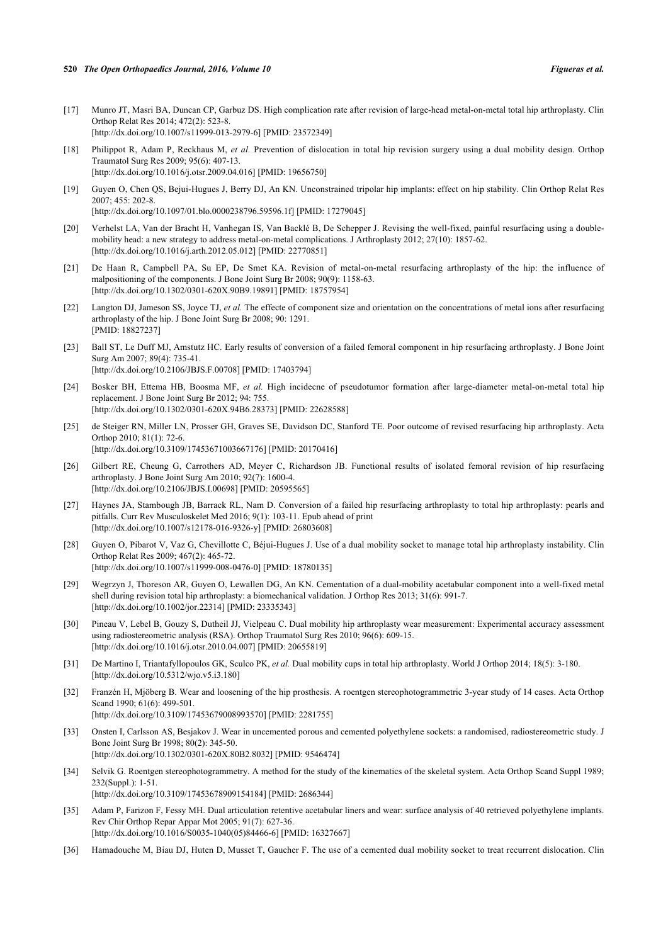- <span id="page-8-0"></span>[17] Munro JT, Masri BA, Duncan CP, Garbuz DS. High complication rate after revision of large-head metal-on-metal total hip arthroplasty. Clin Orthop Relat Res 2014; 472(2): 523-8. [\[http://dx.doi.org/10.1007/s11999-013-2979-6\]](http://dx.doi.org/10.1007/s11999-013-2979-6) [PMID: [23572349](http://www.ncbi.nlm.nih.gov/pubmed/23572349)]
- <span id="page-8-1"></span>[18] Philippot R, Adam P, Reckhaus M, *et al.* Prevention of dislocation in total hip revision surgery using a dual mobility design. Orthop Traumatol Surg Res 2009; 95(6): 407-13. [\[http://dx.doi.org/10.1016/j.otsr.2009.04.016](http://dx.doi.org/10.1016/j.otsr.2009.04.016)] [PMID: [19656750\]](http://www.ncbi.nlm.nih.gov/pubmed/19656750)
- <span id="page-8-2"></span>[19] Guyen O, Chen QS, Bejui-Hugues J, Berry DJ, An KN. Unconstrained tripolar hip implants: effect on hip stability. Clin Orthop Relat Res 2007; 455: 202-8. [\[http://dx.doi.org/10.1097/01.blo.0000238796.59596.1f\]](http://dx.doi.org/10.1097/01.blo.0000238796.59596.1f) [PMID: [17279045](http://www.ncbi.nlm.nih.gov/pubmed/17279045)]
- <span id="page-8-3"></span>[20] Verhelst LA, Van der Bracht H, Vanhegan IS, Van Backlé B, De Schepper J. Revising the well-fixed, painful resurfacing using a doublemobility head: a new strategy to address metal-on-metal complications. J Arthroplasty 2012; 27(10): 1857-62. [\[http://dx.doi.org/10.1016/j.arth.2012.05.012](http://dx.doi.org/10.1016/j.arth.2012.05.012)] [PMID: [22770851](http://www.ncbi.nlm.nih.gov/pubmed/22770851)]
- <span id="page-8-4"></span>[21] De Haan R, Campbell PA, Su EP, De Smet KA. Revision of metal-on-metal resurfacing arthroplasty of the hip: the influence of malpositioning of the components. J Bone Joint Surg Br 2008; 90(9): 1158-63. [\[http://dx.doi.org/10.1302/0301-620X.90B9.19891\]](http://dx.doi.org/10.1302/0301-620X.90B9.19891) [PMID: [18757954](http://www.ncbi.nlm.nih.gov/pubmed/18757954)]
- <span id="page-8-5"></span>[22] Langton DJ, Jameson SS, Joyce TJ, *et al.* The effecte of component size and orientation on the concentrations of metal ions after resurfacing arthroplasty of the hip. J Bone Joint Surg Br 2008; 90: 1291. [PMID: [18827237\]](http://www.ncbi.nlm.nih.gov/pubmed/18827237)
- <span id="page-8-6"></span>[23] Ball ST, Le Duff MJ, Amstutz HC. Early results of conversion of a failed femoral component in hip resurfacing arthroplasty. J Bone Joint Surg Am 2007; 89(4): 735-41. [\[http://dx.doi.org/10.2106/JBJS.F.00708](http://dx.doi.org/10.2106/JBJS.F.00708)] [PMID: [17403794\]](http://www.ncbi.nlm.nih.gov/pubmed/17403794)
- <span id="page-8-7"></span>[24] Bosker BH, Ettema HB, Boosma MF, *et al.* High incidecne of pseudotumor formation after large-diameter metal-on-metal total hip replacement. J Bone Joint Surg Br 2012; 94: 755. [\[http://dx.doi.org/10.1302/0301-620X.94B6.28373\]](http://dx.doi.org/10.1302/0301-620X.94B6.28373) [PMID: [22628588](http://www.ncbi.nlm.nih.gov/pubmed/22628588)]
- <span id="page-8-8"></span>[25] de Steiger RN, Miller LN, Prosser GH, Graves SE, Davidson DC, Stanford TE. Poor outcome of revised resurfacing hip arthroplasty. Acta Orthop 2010; 81(1): 72-6. [\[http://dx.doi.org/10.3109/17453671003667176\]](http://dx.doi.org/10.3109/17453671003667176) [PMID: [20170416](http://www.ncbi.nlm.nih.gov/pubmed/20170416)]
- <span id="page-8-9"></span>[26] Gilbert RE, Cheung G, Carrothers AD, Meyer C, Richardson JB. Functional results of isolated femoral revision of hip resurfacing arthroplasty. J Bone Joint Surg Am 2010; 92(7): 1600-4. [\[http://dx.doi.org/10.2106/JBJS.I.00698](http://dx.doi.org/10.2106/JBJS.I.00698)] [PMID: [20595565](http://www.ncbi.nlm.nih.gov/pubmed/20595565)]
- <span id="page-8-10"></span>[27] Haynes JA, Stambough JB, Barrack RL, Nam D. Conversion of a failed hip resurfacing arthroplasty to total hip arthroplasty: pearls and pitfalls. Curr Rev Musculoskelet Med 2016; 9(1): 103-11. Epub ahead of print [\[http://dx.doi.org/10.1007/s12178-016-9326-y\]](http://dx.doi.org/10.1007/s12178-016-9326-y) [PMID: [26803608](http://www.ncbi.nlm.nih.gov/pubmed/26803608)]
- <span id="page-8-11"></span>[28] Guyen O, Pibarot V, Vaz G, Chevillotte C, Béjui-Hugues J. Use of a dual mobility socket to manage total hip arthroplasty instability. Clin Orthop Relat Res 2009; 467(2): 465-72. [\[http://dx.doi.org/10.1007/s11999-008-0476-0\]](http://dx.doi.org/10.1007/s11999-008-0476-0) [PMID: [18780135](http://www.ncbi.nlm.nih.gov/pubmed/18780135)]
- <span id="page-8-12"></span>[29] Wegrzyn J, Thoreson AR, Guyen O, Lewallen DG, An KN. Cementation of a dual-mobility acetabular component into a well-fixed metal shell during revision total hip arthroplasty: a biomechanical validation. J Orthop Res 2013; 31(6): 991-7. [\[http://dx.doi.org/10.1002/jor.22314\]](http://dx.doi.org/10.1002/jor.22314) [PMID: [23335343](http://www.ncbi.nlm.nih.gov/pubmed/23335343)]
- <span id="page-8-13"></span>[30] Pineau V, Lebel B, Gouzy S, Dutheil JJ, Vielpeau C. Dual mobility hip arthroplasty wear measurement: Experimental accuracy assessment using radiostereometric analysis (RSA). Orthop Traumatol Surg Res 2010; 96(6): 609-15. [\[http://dx.doi.org/10.1016/j.otsr.2010.04.007](http://dx.doi.org/10.1016/j.otsr.2010.04.007)] [PMID: [20655819\]](http://www.ncbi.nlm.nih.gov/pubmed/20655819)
- <span id="page-8-14"></span>[31] De Martino I, Triantafyllopoulos GK, Sculco PK, *et al.* Dual mobility cups in total hip arthroplasty. World J Orthop 2014; 18(5): 3-180. [\[http://dx.doi.org/10.5312/wjo.v5.i3.180](http://dx.doi.org/10.5312/wjo.v5.i3.180)]
- <span id="page-8-15"></span>[32] Franzén H, Mjöberg B. Wear and loosening of the hip prosthesis. A roentgen stereophotogrammetric 3-year study of 14 cases. Acta Orthop Scand 1990; 61(6): 499-501. [\[http://dx.doi.org/10.3109/17453679008993570\]](http://dx.doi.org/10.3109/17453679008993570) [PMID: [2281755](http://www.ncbi.nlm.nih.gov/pubmed/2281755)]
- [33] Onsten I, Carlsson AS, Besjakov J. Wear in uncemented porous and cemented polyethylene sockets: a randomised, radiostereometric study. J Bone Joint Surg Br 1998; 80(2): 345-50. [\[http://dx.doi.org/10.1302/0301-620X.80B2.8032\]](http://dx.doi.org/10.1302/0301-620X.80B2.8032) [PMID: [9546474](http://www.ncbi.nlm.nih.gov/pubmed/9546474)]
- <span id="page-8-16"></span>[34] Selvik G. Roentgen stereophotogrammetry. A method for the study of the kinematics of the skeletal system. Acta Orthop Scand Suppl 1989; 232(Suppl.): 1-51. [\[http://dx.doi.org/10.3109/17453678909154184\]](http://dx.doi.org/10.3109/17453678909154184) [PMID: [2686344](http://www.ncbi.nlm.nih.gov/pubmed/2686344)]
- <span id="page-8-17"></span>[35] Adam P, Farizon F, Fessy MH. Dual articulation retentive acetabular liners and wear: surface analysis of 40 retrieved polyethylene implants. Rev Chir Orthop Repar Appar Mot 2005; 91(7): 627-36. [\[http://dx.doi.org/10.1016/S0035-1040\(05\)84466-6\]](http://dx.doi.org/10.1016/S0035-1040(05)84466-6) [PMID: [16327667](http://www.ncbi.nlm.nih.gov/pubmed/16327667)]
- <span id="page-8-18"></span>[36] Hamadouche M, Biau DJ, Huten D, Musset T, Gaucher F. The use of a cemented dual mobility socket to treat recurrent dislocation. Clin